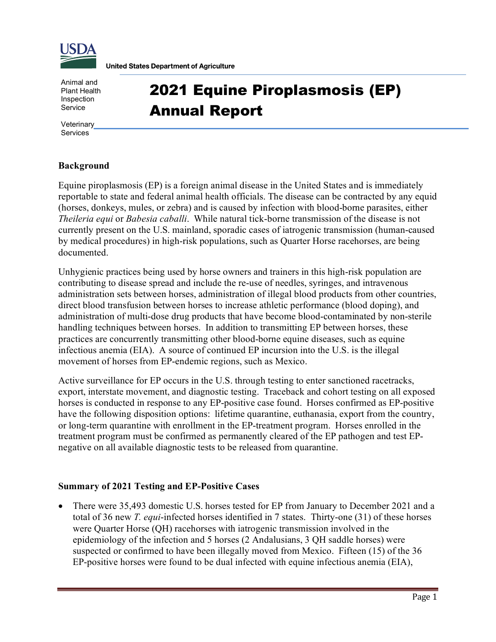

**United States Department of Agriculture** 

Animal and Plant Health Inspection Service

## 2021 Equine Piroplasmosis (EP) Annual Report

**Veterinary** Services

## **Background**

Equine piroplasmosis (EP) is a foreign animal disease in the United States and is immediately reportable to state and federal animal health officials. The disease can be contracted by any equid (horses, donkeys, mules, or zebra) and is caused by infection with blood-borne parasites, either *Theileria equi* or *Babesia caballi*. While natural tick-borne transmission of the disease is not currently present on the U.S. mainland, sporadic cases of iatrogenic transmission (human-caused by medical procedures) in high-risk populations, such as Quarter Horse racehorses, are being documented.

Unhygienic practices being used by horse owners and trainers in this high-risk population are contributing to disease spread and include the re-use of needles, syringes, and intravenous administration sets between horses, administration of illegal blood products from other countries, direct blood transfusion between horses to increase athletic performance (blood doping), and administration of multi-dose drug products that have become blood-contaminated by non-sterile handling techniques between horses. In addition to transmitting EP between horses, these practices are concurrently transmitting other blood-borne equine diseases, such as equine infectious anemia (EIA). A source of continued EP incursion into the U.S. is the illegal movement of horses from EP-endemic regions, such as Mexico.

Active surveillance for EP occurs in the U.S. through testing to enter sanctioned racetracks, export, interstate movement, and diagnostic testing. Traceback and cohort testing on all exposed horses is conducted in response to any EP-positive case found. Horses confirmed as EP-positive have the following disposition options: lifetime quarantine, euthanasia, export from the country, or long-term quarantine with enrollment in the EP-treatment program. Horses enrolled in the treatment program must be confirmed as permanently cleared of the EP pathogen and test EPnegative on all available diagnostic tests to be released from quarantine.

## **Summary of 2021 Testing and EP-Positive Cases**

• There were 35,493 domestic U.S. horses tested for EP from January to December 2021 and a total of 36 new *T. equi*-infected horses identified in 7 states. Thirty-one (31) of these horses were Quarter Horse (QH) racehorses with iatrogenic transmission involved in the epidemiology of the infection and 5 horses (2 Andalusians, 3 QH saddle horses) were suspected or confirmed to have been illegally moved from Mexico. Fifteen (15) of the 36 EP-positive horses were found to be dual infected with equine infectious anemia (EIA),